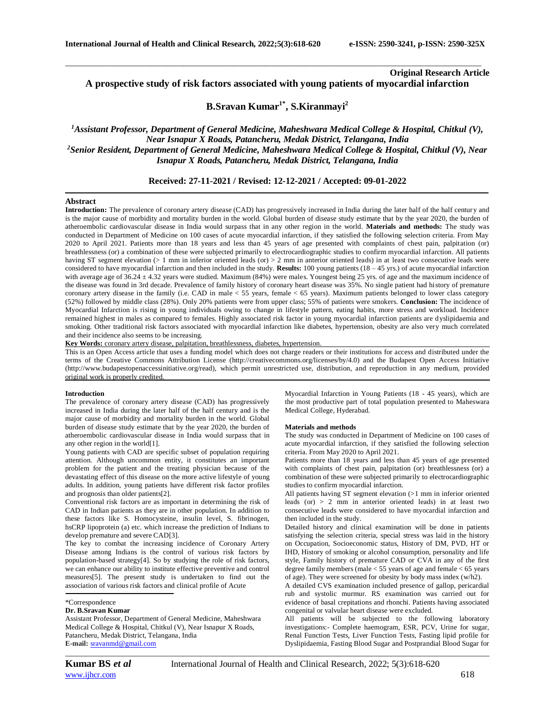# **Original Research Article**

**A prospective study of risk factors associated with young patients of myocardial infarction**

\_\_\_\_\_\_\_\_\_\_\_\_\_\_\_\_\_\_\_\_\_\_\_\_\_\_\_\_\_\_\_\_\_\_\_\_\_\_\_\_\_\_\_\_\_\_\_\_\_\_\_\_\_\_\_\_\_\_\_\_\_\_\_\_\_\_\_\_\_\_\_\_\_\_\_\_\_\_\_\_\_\_\_\_\_\_\_\_\_\_\_\_\_\_\_\_\_\_\_\_\_\_

# **B.Sravan Kumar1\* , S.Kiranmayi<sup>2</sup>**

## *<sup>1</sup>Assistant Professor, Department of General Medicine, Maheshwara Medical College & Hospital, Chitkul (V), Near Isnapur X Roads, Patancheru, Medak District, Telangana, India <sup>2</sup>Senior Resident, Department of General Medicine, Maheshwara Medical College & Hospital, Chitkul (V), Near Isnapur X Roads, Patancheru, Medak District, Telangana, India*

### **Received: 27-11-2021 / Revised: 12-12-2021 / Accepted: 09-01-2022**

#### **Abstract**

**Introduction:** The prevalence of coronary artery disease (CAD) has progressively increased in India during the later half of the half century and is the major cause of morbidity and mortality burden in the world. Global burden of disease study estimate that by the year 2020, the burden of atheroembolic cardiovascular disease in India would surpass that in any other region in the world. **Materials and methods:** The study was conducted in Department of Medicine on 100 cases of acute myocardial infarction, if they satisfied the following selection criteria. From May 2020 to April 2021. Patients more than 18 years and less than 45 years of age presented with complaints of chest pain, palpitation (or) breathlessness (or) a combination of these were subjected primarily to electrocardiographic studies to confirm myocardial infarction. All patients having ST segment elevation (> 1 mm in inferior oriented leads (or) > 2 mm in anterior oriented leads) in at least two consecutive leads were considered to have myocardial infarction and then included in the study. **Results:** 100 young patients (18 – 45 yrs.) of acute myocardial infarction with average age of  $36.24 \pm 4.32$  years were studied. Maximum (84%) were males. Youngest being 25 yrs. of age and the maximum incidence of the disease was found in 3rd decade. Prevalence of family history of coronary heart disease was 35%. No single patient had history of premature coronary artery disease in the family (i.e. CAD in male < 55 years, female < 65 years). Maximum patients belonged to lower class category (52%) followed by middle class (28%). Only 20% patients were from upper class; 55% of patients were smokers. **Conclusion:** The incidence of Myocardial Infarction is rising in young individuals owing to change in lifestyle pattern, eating habits, more stress and workload. Incidence remained highest in males as compared to females. Highly associated risk factor in young myocardial infarction patients are dyslipidaemia and smoking. Other traditional risk factors associated with myocardial infarction like diabetes, hypertension, obesity are also very much correlated and their incidence also seems to be increasing.

**Key Words:** coronary artery disease, palpitation, breathlessness, diabetes, hypertension.

This is an Open Access article that uses a funding model which does not charge readers or their institutions for access and distributed under the terms of the Creative Commons Attribution License (http://creativecommons.org/licenses/by/4.0) and the Budapest Open Access Initiative (http://www.budapestopenaccessinitiative.org/read), which permit unrestricted use, distribution, and reproduction in any medium, provided original work is properly credited.

#### **Introduction**

The prevalence of coronary artery disease (CAD) has progressively increased in India during the later half of the half century and is the major cause of morbidity and mortality burden in the world. Global burden of disease study estimate that by the year 2020, the burden of atheroembolic cardiovascular disease in India would surpass that in any other region in the world[1].

Young patients with CAD are specific subset of population requiring attention. Although uncommon entity, it constitutes an important problem for the patient and the treating physician because of the devastating effect of this disease on the more active lifestyle of young adults. In addition, young patients have different risk factor profiles and prognosis than older patients[2].

Conventional risk factors are as important in determining the risk of CAD in Indian patients as they are in other population. In addition to these factors like S. Homocysteine, insulin level, S. fibrinogen, hsCRP lipoprotein (a) etc. which increase the prediction of Indians to develop premature and severe CAD[3].

The key to combat the increasing incidence of Coronary Artery Disease among Indians is the control of various risk factors by population-based strategy[4]. So by studying the role of risk factors, we can enhance our ability to institute effective preventive and control measures[5]. The present study is undertaken to find out the association of various risk factors and clinical profile of Acute

#### **Dr. B.Sravan Kumar**

Assistant Professor, Department of General Medicine, Maheshwara Medical College & Hospital, Chitkul (V), Near Isnapur X Roads, Patancheru, Medak District, Telangana, India **E-mail:** [sravanmd@gmail.com](mailto:sravanmd@gmail.com)

Myocardial Infarction in Young Patients (18 - 45 years), which are the most productive part of total population presented to Maheswara Medical College, Hyderabad.

#### **Materials and methods**

The study was conducted in Department of Medicine on 100 cases of acute myocardial infarction, if they satisfied the following selection criteria. From May 2020 to April 2021.

Patients more than 18 years and less than 45 years of age presented with complaints of chest pain, palpitation (or) breathlessness (or) a combination of these were subjected primarily to electrocardiographic studies to confirm myocardial infarction.

All patients having ST segment elevation (>1 mm in inferior oriented leads (or) > 2 mm in anterior oriented leads) in at least two consecutive leads were considered to have myocardial infarction and then included in the study.

Detailed history and clinical examination will be done in patients satisfying the selection criteria, special stress was laid in the history on Occupation, Socioeconomic status, History of DM, PVD, HT or IHD, History of smoking or alcohol consumption, personality and life style, Family history of premature CAD or CVA in any of the first degree family members (male < 55 years of age and female < 65 years of age). They were screened for obesity by body mass index (w/h2).

A detailed CVS examination included presence of gallop, pericardial rub and systolic murmur. RS examination was carried out for evidence of basal crepitations and rhonchi. Patients having associated congenital or valvular heart disease were excluded.

All patients will be subjected to the following laboratory investigations:- Complete haemogram, ESR, PCV, Urine for sugar, Renal Function Tests, Liver Function Tests, Fasting lipid profile for Dyslipidaemia, Fasting Blood Sugar and Postprandial Blood Sugar for

*\_\_\_\_\_\_\_\_\_\_\_\_\_\_\_\_\_\_\_\_\_\_\_\_\_\_\_\_\_\_\_\_\_\_\_\_\_\_\_\_\_\_\_\_\_\_\_\_\_\_\_\_\_\_\_\_\_\_\_\_\_\_\_\_\_\_\_\_\_\_\_\_\_\_\_\_\_\_\_\_\_\_\_\_\_\_\_\_\_\_\_\_\_\_\_\_\_\_\_\_\_\_\_\_*

<sup>\*</sup>Correspondence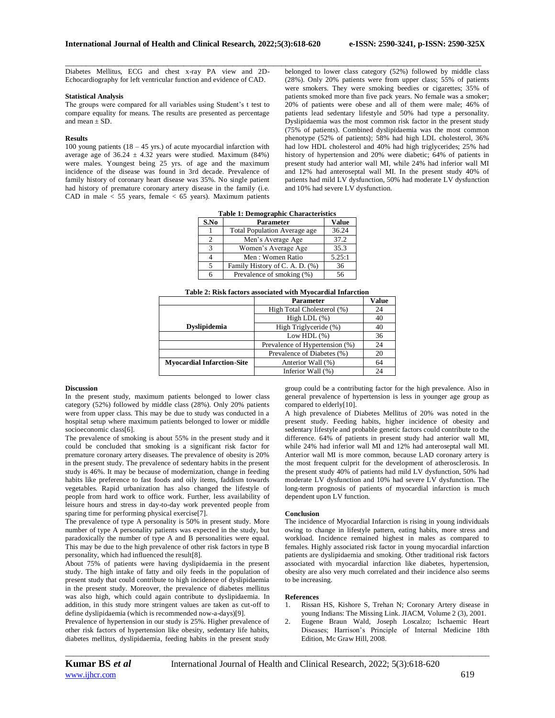Diabetes Mellitus, ECG and chest x-ray PA view and 2D-Echocardiography for left ventricular function and evidence of CAD.

#### **Statistical Analysis**

The groups were compared for all variables using Student's t test to compare equality for means. The results are presented as percentage and mean  $\pm$  SD.

#### **Results**

100 young patients  $(18 - 45 \text{ yrs.})$  of acute myocardial infarction with average age of  $36.24 \pm 4.32$  years were studied. Maximum (84%) were males. Youngest being 25 yrs. of age and the maximum incidence of the disease was found in 3rd decade. Prevalence of family history of coronary heart disease was 35%. No single patient had history of premature coronary artery disease in the family (i.e. CAD in male  $<$  55 years, female  $<$  65 years). Maximum patients

belonged to lower class category (52%) followed by middle class (28%). Only 20% patients were from upper class; 55% of patients were smokers. They were smoking beedies or cigarettes; 35% of patients smoked more than five pack years. No female was a smoker; 20% of patients were obese and all of them were male; 46% of patients lead sedentary lifestyle and 50% had type a personality. Dyslipidaemia was the most common risk factor in the present study (75% of patients). Combined dyslipidaemia was the most common phenotype (52% of patients); 58% had high LDL cholesterol, 36% had low HDL cholesterol and 40% had high triglycerides; 25% had history of hypertension and 20% were diabetic; 64% of patients in present study had anterior wall MI, while 24% had inferior wall MI and 12% had anteroseptal wall MI. In the present study 40% of patients had mild LV dysfunction, 50% had moderate LV dysfunction and 10% had severe LV dysfunction.

|  |  | <b>Table 1: Demographic Characteristics</b> |  |
|--|--|---------------------------------------------|--|
|  |  |                                             |  |

\_\_\_\_\_\_\_\_\_\_\_\_\_\_\_\_\_\_\_\_\_\_\_\_\_\_\_\_\_\_\_\_\_\_\_\_\_\_\_\_\_\_\_\_\_\_\_\_\_\_\_\_\_\_\_\_\_\_\_\_\_\_\_\_\_\_\_\_\_\_\_\_\_\_\_\_\_\_\_\_\_\_\_\_\_\_\_\_\_\_\_\_\_\_\_\_\_\_\_\_\_\_

| S.No | <b>Parameter</b>                    | <b>Value</b> |
|------|-------------------------------------|--------------|
|      | <b>Total Population Average age</b> | 36.24        |
| 2    | Men's Average Age                   | 37.2         |
| 3    | Women's Average Age                 | 35.3         |
|      | Men: Women Ratio                    | 5.25:1       |
| 5    | Family History of C. A. D. (%)      | 36           |
|      | Prevalence of smoking (%)           | 56           |

|                                   | <b>Parameter</b>               | <b>Value</b> |
|-----------------------------------|--------------------------------|--------------|
|                                   | High Total Cholesterol (%)     | 24           |
|                                   | High LDL $(\%)$                | 40           |
| <b>Dyslipidemia</b>               | High Triglyceride (%)          | 40           |
|                                   | Low HDL $(\%)$                 | 36           |
|                                   | Prevalence of Hypertension (%) | 24           |
|                                   | Prevalence of Diabetes (%)     | 20           |
| <b>Myocardial Infarction-Site</b> | Anterior Wall (%)              | 64           |
|                                   | Inferior Wall (%)              | 24           |

#### **Discussion**

In the present study, maximum patients belonged to lower class category (52%) followed by middle class (28%). Only 20% patients were from upper class. This may be due to study was conducted in a hospital setup where maximum patients belonged to lower or middle socioeconomic class[6].

The prevalence of smoking is about 55% in the present study and it could be concluded that smoking is a significant risk factor for premature coronary artery diseases. The prevalence of obesity is 20% in the present study. The prevalence of sedentary habits in the present study is 46%. It may be because of modernization, change in feeding habits like preference to fast foods and oily items, faddism towards vegetables. Rapid urbanization has also changed the lifestyle of people from hard work to office work. Further, less availability of leisure hours and stress in day-to-day work prevented people from sparing time for performing physical exercise[7].

The prevalence of type A personality is 50% in present study. More number of type A personality patients was expected in the study, but paradoxically the number of type A and B personalities were equal. This may be due to the high prevalence of other risk factors in type B personality, which had influenced the result[8].

About 75% of patients were having dyslipidaemia in the present study. The high intake of fatty and oily feeds in the population of present study that could contribute to high incidence of dyslipidaemia in the present study. Moreover, the prevalence of diabetes mellitus was also high, which could again contribute to dyslipidaemia. In addition, in this study more stringent values are taken as cut-off to define dyslipidaemia (which is recommended now-a-days)[9].

Prevalence of hypertension in our study is 25%. Higher prevalence of other risk factors of hypertension like obesity, sedentary life habits, diabetes mellitus, dyslipidaemia, feeding habits in the present study

group could be a contributing factor for the high prevalence. Also in general prevalence of hypertension is less in younger age group as compared to elderly[10].

A high prevalence of Diabetes Mellitus of 20% was noted in the present study. Feeding habits, higher incidence of obesity and sedentary lifestyle and probable genetic factors could contribute to the difference. 64% of patients in present study had anterior wall MI, while 24% had inferior wall MI and 12% had anteroseptal wall MI. Anterior wall MI is more common, because LAD coronary artery is the most frequent culprit for the development of atherosclerosis. In the present study 40% of patients had mild LV dysfunction, 50% had moderate LV dysfunction and 10% had severe LV dysfunction. The long-term prognosis of patients of myocardial infarction is much dependent upon LV function.

#### **Conclusion**

The incidence of Myocardial Infarction is rising in young individuals owing to change in lifestyle pattern, eating habits, more stress and workload. Incidence remained highest in males as compared to females. Highly associated risk factor in young myocardial infarction patients are dyslipidaemia and smoking. Other traditional risk factors associated with myocardial infarction like diabetes, hypertension, obesity are also very much correlated and their incidence also seems to be increasing.

#### **References**

- 1. Rissan HS, Kishore S, Trehan N; Coronary Artery disease in young Indians: The Missing Link. JIACM, Volume 2 (3), 2001.
- 2. Eugene Braun Wald, Joseph Loscalzo; Ischaemic Heart Diseases; Harrison's Principle of Internal Medicine 18th Edition, Mc Graw Hill, 2008.

*\_\_\_\_\_\_\_\_\_\_\_\_\_\_\_\_\_\_\_\_\_\_\_\_\_\_\_\_\_\_\_\_\_\_\_\_\_\_\_\_\_\_\_\_\_\_\_\_\_\_\_\_\_\_\_\_\_\_\_\_\_\_\_\_\_\_\_\_\_\_\_\_\_\_\_\_\_\_\_\_\_\_\_\_\_\_\_\_\_\_\_\_\_\_\_\_\_\_\_\_\_\_\_\_*